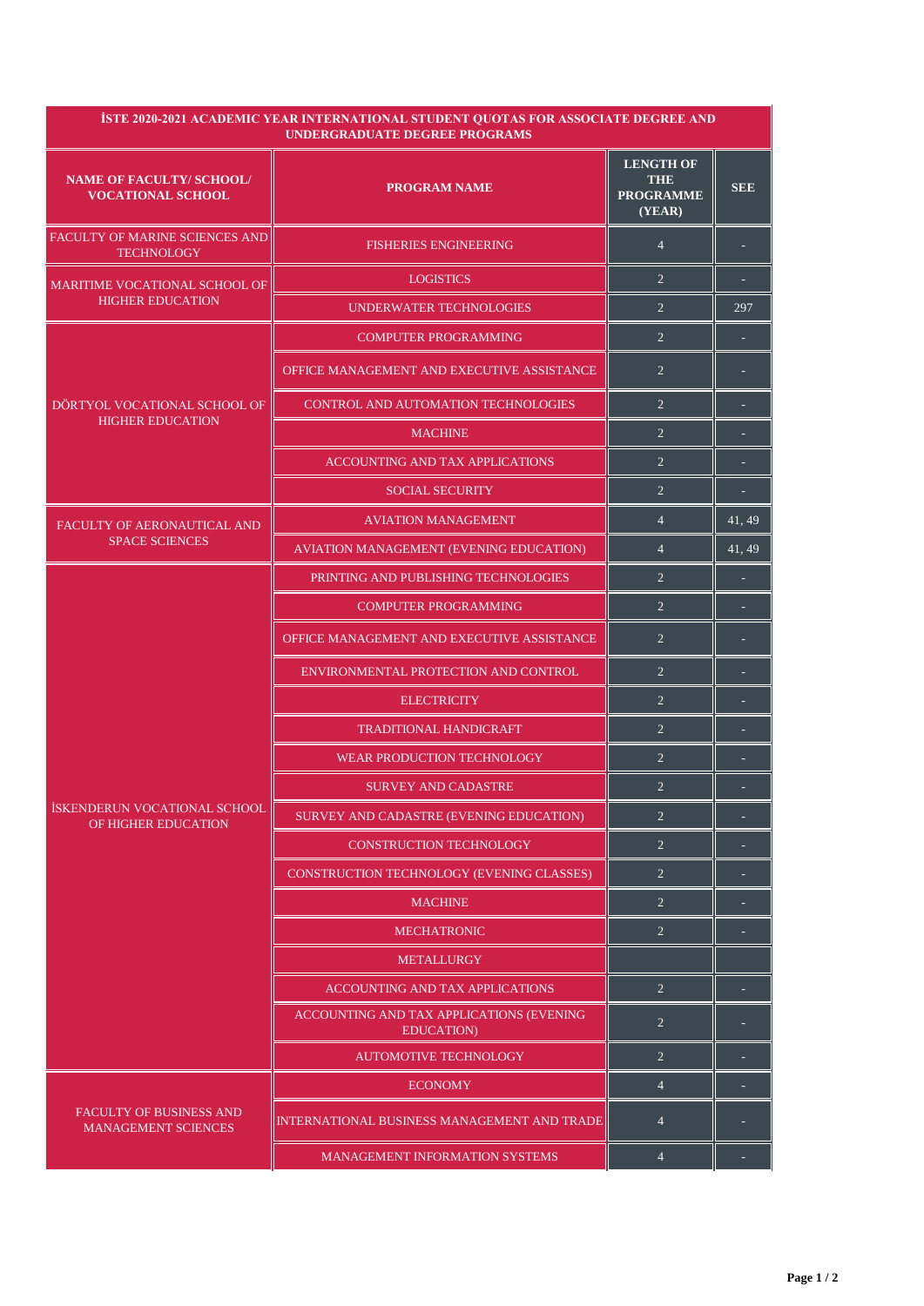| <b>İSTE 2020-2021 ACADEMIC YEAR INTERNATIONAL STUDENT QUOTAS FOR ASSOCIATE DEGREE AND</b><br><b>UNDERGRADUATE DEGREE PROGRAMS</b> |                                                               |                                                              |                 |  |  |
|-----------------------------------------------------------------------------------------------------------------------------------|---------------------------------------------------------------|--------------------------------------------------------------|-----------------|--|--|
| <b>NAME OF FACULTY/ SCHOOL/</b><br><b>VOCATIONAL SCHOOL</b>                                                                       | <b>PROGRAM NAME</b>                                           | <b>LENGTH OF</b><br><b>THE</b><br><b>PROGRAMME</b><br>(YEAR) | <b>SEE</b>      |  |  |
| <b>FACULTY OF MARINE SCIENCES AND</b><br><b>TECHNOLOGY</b>                                                                        | <b>FISHERIES ENGINEERING</b>                                  | $\overline{4}$                                               |                 |  |  |
| <b>MARITIME VOCATIONAL SCHOOL OF</b><br><b>HIGHER EDUCATION</b>                                                                   | <b>LOGISTICS</b>                                              | $\overline{2}$                                               |                 |  |  |
|                                                                                                                                   | UNDERWATER TECHNOLOGIES                                       | $\overline{2}$                                               | 297             |  |  |
| DÖRTYOL VOCATIONAL SCHOOL OF<br><b>HIGHER EDUCATION</b>                                                                           | <b>COMPUTER PROGRAMMING</b>                                   | $\overline{2}$                                               |                 |  |  |
|                                                                                                                                   | OFFICE MANAGEMENT AND EXECUTIVE ASSISTANCE                    | $\overline{2}$                                               |                 |  |  |
|                                                                                                                                   | CONTROL AND AUTOMATION TECHNOLOGIES                           | $\overline{2}$                                               |                 |  |  |
|                                                                                                                                   | <b>MACHINE</b>                                                | $\overline{2}$                                               |                 |  |  |
|                                                                                                                                   | <b>ACCOUNTING AND TAX APPLICATIONS</b>                        | $\overline{2}$                                               |                 |  |  |
|                                                                                                                                   | <b>SOCIAL SECURITY</b>                                        | $\overline{2}$                                               |                 |  |  |
| FACULTY OF AERONAUTICAL AND                                                                                                       | <b>AVIATION MANAGEMENT</b>                                    | $\overline{4}$                                               | 41, 49          |  |  |
| <b>SPACE SCIENCES</b>                                                                                                             | AVIATION MANAGEMENT (EVENING EDUCATION)                       | $\overline{4}$                                               | $\sqrt{41, 49}$ |  |  |
|                                                                                                                                   | PRINTING AND PUBLISHING TECHNOLOGIES                          | $\overline{2}$                                               |                 |  |  |
|                                                                                                                                   | <b>COMPUTER PROGRAMMING</b>                                   | $\overline{2}$                                               |                 |  |  |
| İSKENDERUN VOCATIONAL SCHOOL<br>OF HIGHER EDUCATION                                                                               | OFFICE MANAGEMENT AND EXECUTIVE ASSISTANCE                    | $\overline{2}$                                               |                 |  |  |
|                                                                                                                                   | ENVIRONMENTAL PROTECTION AND CONTROL                          | $\overline{2}$                                               |                 |  |  |
|                                                                                                                                   | <b>ELECTRICITY</b>                                            | $\overline{2}$                                               |                 |  |  |
|                                                                                                                                   | <b>TRADITIONAL HANDICRAFT</b>                                 | $\overline{2}$                                               |                 |  |  |
|                                                                                                                                   | <b>WEAR PRODUCTION TECHNOLOGY</b>                             | $\overline{2}$                                               |                 |  |  |
|                                                                                                                                   | <b>SURVEY AND CADASTRE</b>                                    | $\overline{2}$                                               |                 |  |  |
|                                                                                                                                   | SURVEY AND CADASTRE (EVENING EDUCATION)                       | $\overline{2}$                                               |                 |  |  |
|                                                                                                                                   | <b>CONSTRUCTION TECHNOLOGY</b>                                | $\overline{2}$                                               |                 |  |  |
|                                                                                                                                   | CONSTRUCTION TECHNOLOGY (EVENING CLASSES)                     | $\overline{2}$                                               |                 |  |  |
|                                                                                                                                   | <b>MACHINE</b>                                                | $\overline{2}$                                               |                 |  |  |
|                                                                                                                                   | <b>MECHATRONIC</b>                                            | $\overline{2}$                                               |                 |  |  |
|                                                                                                                                   | <b>METALLURGY</b>                                             |                                                              |                 |  |  |
|                                                                                                                                   | <b>ACCOUNTING AND TAX APPLICATIONS</b>                        | $\overline{2}$                                               |                 |  |  |
|                                                                                                                                   | ACCOUNTING AND TAX APPLICATIONS (EVENING<br><b>EDUCATION)</b> | $\overline{2}$                                               |                 |  |  |
|                                                                                                                                   | <b>AUTOMOTIVE TECHNOLOGY</b>                                  | $\overline{2}$                                               |                 |  |  |
| FACULTY OF BUSINESS AND<br><b>MANAGEMENT SCIENCES</b>                                                                             | <b>ECONOMY</b>                                                | $\overline{4}$                                               |                 |  |  |
|                                                                                                                                   | INTERNATIONAL BUSINESS MANAGEMENT AND TRADE                   | $\overline{4}$                                               |                 |  |  |
|                                                                                                                                   | <b>MANAGEMENT INFORMATION SYSTEMS</b>                         | $\overline{4}$                                               |                 |  |  |